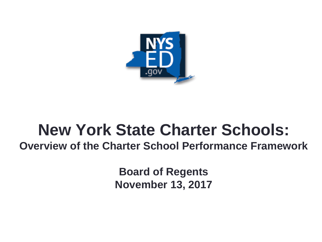

# **New York State Charter Schools:**

**Overview of the Charter School Performance Framework**

**Board of Regents November 13, 2017**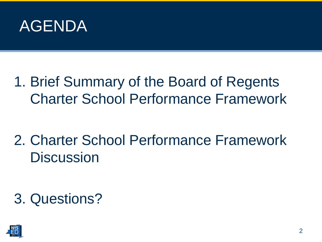

1. Brief Summary of the Board of Regents Charter School Performance Framework

2. Charter School Performance Framework **Discussion** 

3. Questions?

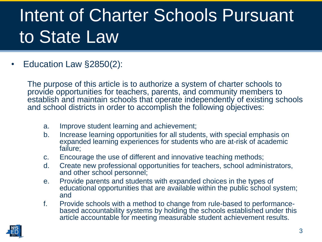# Intent of Charter Schools Pursuant to State Law

• Education Law §2850(2):

The purpose of this article is to authorize a system of charter schools to provide opportunities for teachers, parents, and community members to establish and maintain schools that operate independently of existing schools and school districts in order to accomplish the following objectives:

- a. Improve student learning and achievement;
- b. Increase learning opportunities for all students, with special emphasis on expanded learning experiences for students who are at-risk of academic failure;
- c. Encourage the use of different and innovative teaching methods;
- d. Create new professional opportunities for teachers, school administrators, and other school personnel;
- e. Provide parents and students with expanded choices in the types of educational opportunities that are available within the public school system; and
- f. Provide schools with a method to change from rule-based to performancebased accountability systems by holding the schools established under this article accountable for meeting measurable student achievement results.

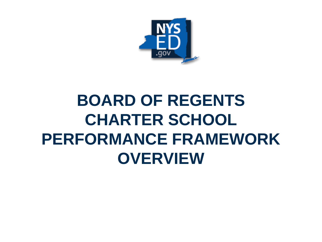

## **BOARD OF REGENTS CHARTER SCHOOL PERFORMANCE FRAMEWORK OVERVIEW**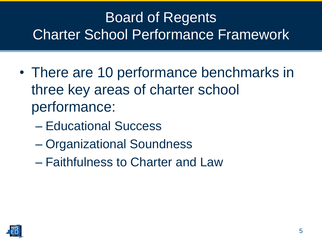### Board of Regents Charter School Performance Framework

- There are 10 performance benchmarks in three key areas of charter school performance:
	- Educational Success
	- Organizational Soundness
	- Faithfulness to Charter and Law

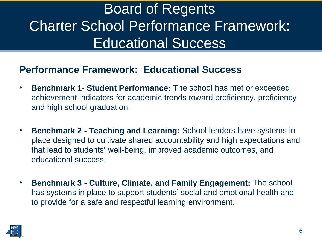### Board of Regents Charter School Performance Framework: Educational Success

#### **Performance Framework: Educational Success**

- **Benchmark 1- Student Performance:** The school has met or exceeded achievement indicators for academic trends toward proficiency, proficiency and high school graduation.
- **Benchmark 2 - Teaching and Learning:** School leaders have systems in place designed to cultivate shared accountability and high expectations and that lead to students' well-being, improved academic outcomes, and educational success.
- **Benchmark 3 - Culture, Climate, and Family Engagement:** The school has systems in place to support students' social and emotional health and to provide for a safe and respectful learning environment.

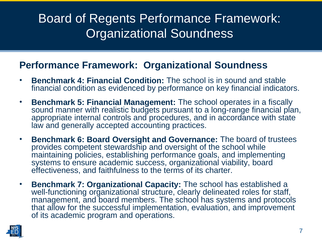### Board of Regents Performance Framework: Organizational Soundness

#### **Performance Framework: Organizational Soundness**

- **Benchmark 4: Financial Condition:** The school is in sound and stable financial condition as evidenced by performance on key financial indicators.
- **Benchmark 5: Financial Management:** The school operates in a fiscally sound manner with realistic budgets pursuant to a long-range financial plan, appropriate internal controls and procedures, and in accordance with state law and generally accepted accounting practices.
- **Benchmark 6: Board Oversight and Governance:** The board of trustees provides competent stewardship and oversight of the school while maintaining policies, establishing performance goals, and implementing systems to ensure academic success, organizational viability, board effectiveness, and faithfulness to the terms of its charter.
- **Benchmark 7: Organizational Capacity:** The school has established a well-functioning organizational structure, clearly delineated roles for staff, management, and board members. The school has systems and protocols that allow for the successful implementation, evaluation, and improvement of its academic program and operations.

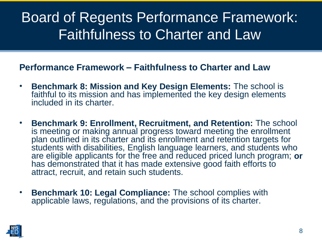### Board of Regents Performance Framework: Faithfulness to Charter and Law

#### **Performance Framework – Faithfulness to Charter and Law**

- **Benchmark 8: Mission and Key Design Elements:** The school is faithful to its mission and has implemented the key design elements included in its charter.
- **Benchmark 9: Enrollment, Recruitment, and Retention:** The school is meeting or making annual progress toward meeting the enrollment plan outlined in its charter and its enrollment and retention targets for students with disabilities, English language learners, and students who are eligible applicants for the free and reduced priced lunch program; **or** has demonstrated that it has made extensive good faith efforts to attract, recruit, and retain such students.
- **Benchmark 10: Legal Compliance:** The school complies with applicable laws, regulations, and the provisions of its charter.

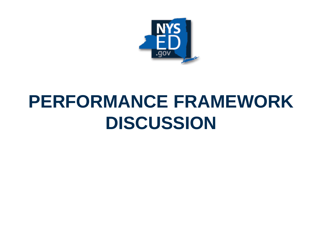

## **PERFORMANCE FRAMEWORK DISCUSSION**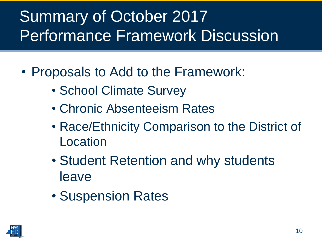## Summary of October 2017 Performance Framework Discussion

- Proposals to Add to the Framework:
	- School Climate Survey
	- Chronic Absenteeism Rates
	- Race/Ethnicity Comparison to the District of Location
	- Student Retention and why students leave
	- Suspension Rates

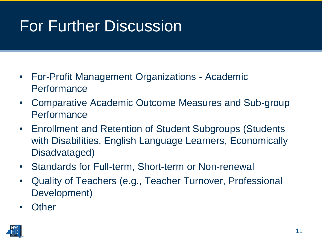## For Further Discussion

- For-Profit Management Organizations Academic **Performance**
- Comparative Academic Outcome Measures and Sub-group **Performance**
- Enrollment and Retention of Student Subgroups (Students with Disabilities, English Language Learners, Economically Disadvataged)
- Standards for Full-term, Short-term or Non-renewal
- Quality of Teachers (e.g., Teacher Turnover, Professional Development)
- Other

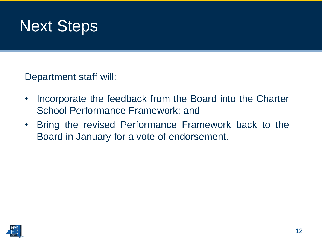

Department staff will:

- Incorporate the feedback from the Board into the Charter School Performance Framework; and
- Bring the revised Performance Framework back to the Board in January for a vote of endorsement.